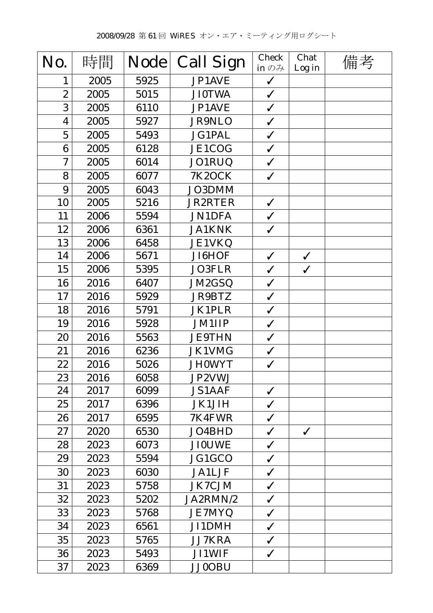| No.                     | 時間   | <b>Node</b> | <b>Call Sign</b> | <b>Check</b><br>in $\mathcal{D} \mathcal{H}$ | Chat<br>Log in | 備考 |
|-------------------------|------|-------------|------------------|----------------------------------------------|----------------|----|
| 1                       | 2005 | 5925        | JP1AVE           | $\checkmark$                                 |                |    |
| $\boldsymbol{2}$        | 2005 | 5015        | <b>JI0TWA</b>    | $\checkmark$                                 |                |    |
| 3                       | 2005 | 6110        | JP1AVE           | $\checkmark$                                 |                |    |
| $\overline{\mathbf{4}}$ | 2005 | 5927        | <b>JR9NLO</b>    | $\checkmark$                                 |                |    |
| $\overline{5}$          | 2005 | 5493        | <b>JG1PAL</b>    | $\checkmark$                                 |                |    |
| 6                       | 2005 | 6128        | JE1COG           | $\checkmark$                                 |                |    |
| $\mathbf 7$             | 2005 | 6014        | JO1RUQ           | $\checkmark$                                 |                |    |
| 8                       | 2005 | 6077        | <b>7K2OCK</b>    | $\checkmark$                                 |                |    |
| 9                       | 2005 | 6043        | JO3DMM           |                                              |                |    |
| 10                      | 2005 | 5216        | <b>JR2RTER</b>   | $\checkmark$                                 |                |    |
| 11                      | 2006 | 5594        | <b>JN1DFA</b>    | $\checkmark$                                 |                |    |
| 12                      | 2006 | 6361        | <b>JA1KNK</b>    | $\checkmark$                                 |                |    |
| 13                      | 2006 | 6458        | <b>JE1VKQ</b>    |                                              |                |    |
| 14                      | 2006 | 5671        | JI6HOF           | $\checkmark$                                 | $\checkmark$   |    |
| 15                      | 2006 | 5395        | <b>JO3FLR</b>    | $\checkmark$                                 | $\checkmark$   |    |
| 16                      | 2016 | 6407        | JM2GSQ           | $\checkmark$                                 |                |    |
| 17                      | 2016 | 5929        | JR9BTZ           | $\checkmark$                                 |                |    |
| 18                      | 2016 | 5791        | <b>JK1PLR</b>    | $\checkmark$                                 |                |    |
| 19                      | 2016 | 5928        | <b>JM1IIP</b>    | $\checkmark$                                 |                |    |
| 20                      | 2016 | 5563        | <b>JE9THN</b>    | $\checkmark$                                 |                |    |
| 21                      | 2016 | 6236        | JK1VMG           | $\checkmark$                                 |                |    |
| 22                      | 2016 | 5026        | <b>JH0WYT</b>    | $\checkmark$                                 |                |    |
| 23                      | 2016 | 6058        | JP2VWJ           |                                              |                |    |
| 24                      | 2017 | 6099        | <b>JS1AAF</b>    | $\checkmark$                                 |                |    |
| 25                      | 2017 | 6396        | <b>JK1JIH</b>    | $\checkmark$                                 |                |    |
| 26                      | 2017 | 6595        | 7K4FWR           | $\checkmark$                                 |                |    |
| 27                      | 2020 | 6530        | JO4BHD           | $\checkmark$                                 | $\checkmark$   |    |
| 28                      | 2023 | 6073        | <b>JI0UWE</b>    | $\checkmark$                                 |                |    |
| 29                      | 2023 | 5594        | JG1GCO           | $\checkmark$                                 |                |    |
| 30                      | 2023 | 6030        | <b>JA1LJF</b>    | $\checkmark$                                 |                |    |
| 31                      | 2023 | 5758        | <b>JK7CJM</b>    | $\checkmark$                                 |                |    |
| 32                      | 2023 | 5202        | JA2RMN/2         | $\checkmark$                                 |                |    |
| 33                      | 2023 | 5768        | <b>JE7MYQ</b>    | $\checkmark$                                 |                |    |
| 34                      | 2023 | 6561        | <b>JI1DMH</b>    | $\checkmark$                                 |                |    |
| 35                      | 2023 | 5765        | <b>JJ7KRA</b>    | $\checkmark$                                 |                |    |
| 36                      | 2023 | 5493        | <b>JI1WIF</b>    | $\checkmark$                                 |                |    |
| 37                      | 2023 | 6369        | <b>JJ0OBU</b>    |                                              |                |    |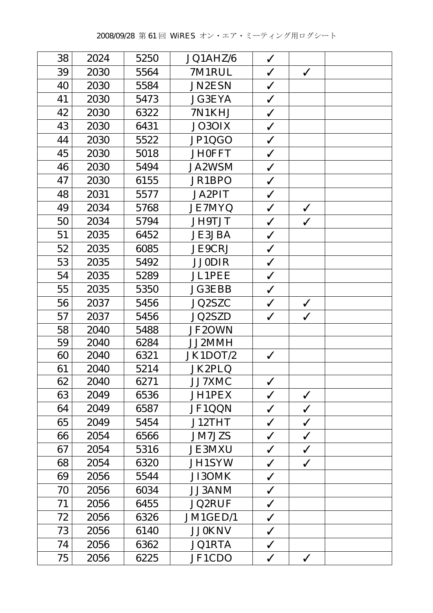| 38 | 2024 | 5250 | JQ1AHZ/6      | $\checkmark$ |              |  |
|----|------|------|---------------|--------------|--------------|--|
| 39 | 2030 | 5564 | 7M1RUL        | $\checkmark$ | $\checkmark$ |  |
| 40 | 2030 | 5584 | <b>JN2ESN</b> | $\checkmark$ |              |  |
| 41 | 2030 | 5473 | <b>JG3EYA</b> | $\checkmark$ |              |  |
| 42 | 2030 | 6322 | 7N1KHJ        | $\checkmark$ |              |  |
| 43 | 2030 | 6431 | JO3OIX        | $\checkmark$ |              |  |
| 44 | 2030 | 5522 | JP1QGO        | $\checkmark$ |              |  |
| 45 | 2030 | 5018 | <b>JH0FFT</b> | $\checkmark$ |              |  |
| 46 | 2030 | 5494 | <b>JA2WSM</b> | $\checkmark$ |              |  |
| 47 | 2030 | 6155 | JR1BPO        | $\checkmark$ |              |  |
| 48 | 2031 | 5577 | <b>JA2PIT</b> | $\checkmark$ |              |  |
| 49 | 2034 | 5768 | <b>JE7MYQ</b> | $\checkmark$ | $\checkmark$ |  |
| 50 | 2034 | 5794 | JH9TJT        | $\checkmark$ | $\checkmark$ |  |
| 51 | 2035 | 6452 | <b>JE3JBA</b> | $\checkmark$ |              |  |
| 52 | 2035 | 6085 | <b>JE9CRJ</b> | $\checkmark$ |              |  |
| 53 | 2035 | 5492 | <b>JJ0DIR</b> | $\checkmark$ |              |  |
| 54 | 2035 | 5289 | <b>JL1PEE</b> | $\checkmark$ |              |  |
| 55 | 2035 | 5350 | <b>JG3EBB</b> | $\checkmark$ |              |  |
| 56 | 2037 | 5456 | JQ2SZC        | $\checkmark$ | $\checkmark$ |  |
| 57 | 2037 | 5456 | JQ2SZD        | $\checkmark$ | $\checkmark$ |  |
| 58 | 2040 | 5488 | JF2OWN        |              |              |  |
| 59 | 2040 | 6284 | JJ2MMH        |              |              |  |
| 60 | 2040 | 6321 | JK1DOT/2      | $\checkmark$ |              |  |
| 61 | 2040 | 5214 | JK2PLQ        |              |              |  |
| 62 | 2040 | 6271 | <b>JJ7XMC</b> | $\checkmark$ |              |  |
| 63 | 2049 | 6536 | JH1PEX        | $\checkmark$ | $\checkmark$ |  |
| 64 | 2049 | 6587 | JF1QQN        | $\checkmark$ | $\checkmark$ |  |
| 65 | 2049 | 5454 | J12THT        | $\checkmark$ | $\checkmark$ |  |
| 66 | 2054 | 6566 | <b>JM7JZS</b> | $\checkmark$ | $\checkmark$ |  |
| 67 | 2054 | 5316 | <b>JE3MXU</b> | $\checkmark$ | $\checkmark$ |  |
| 68 | 2054 | 6320 | <b>JH1SYW</b> | $\checkmark$ | $\checkmark$ |  |
| 69 | 2056 | 5544 | JI3OMK        | $\checkmark$ |              |  |
| 70 | 2056 | 6034 | <b>JJ3ANM</b> | $\checkmark$ |              |  |
| 71 | 2056 | 6455 | <b>JQ2RUF</b> | $\checkmark$ |              |  |
| 72 | 2056 | 6326 | JM1GED/1      | $\checkmark$ |              |  |
| 73 | 2056 | 6140 | <b>JJ0KNV</b> | $\checkmark$ |              |  |
| 74 | 2056 | 6362 | <b>JQ1RTA</b> | $\checkmark$ |              |  |
| 75 | 2056 | 6225 | JF1CDO        | $\checkmark$ | $\checkmark$ |  |